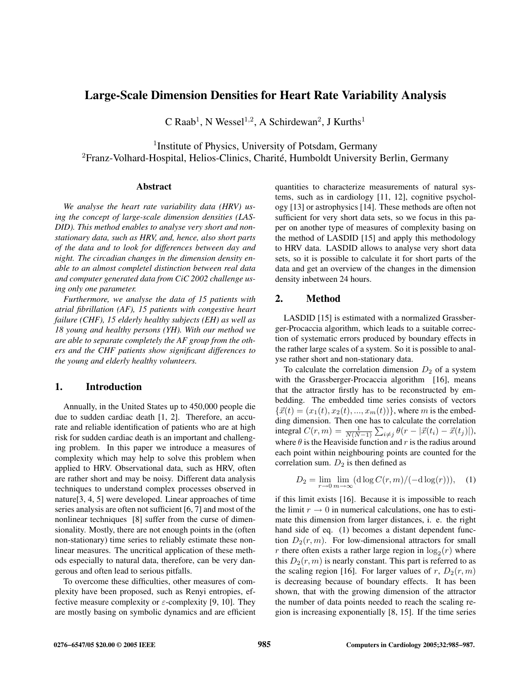# **Large-Scale Dimension Densities for Heart Rate Variability Analysis**

 $C$  Raab<sup>1</sup>, N Wessel<sup>1,2</sup>, A Schirdewan<sup>2</sup>, J Kurths<sup>1</sup>

<sup>1</sup> Institute of Physics, University of Potsdam, Germany  ${}^{2}$ Franz-Volhard-Hospital, Helios-Clinics, Charité, Humboldt University Berlin, Germany

#### **Abstract**

*We analyse the heart rate variability data (HRV) using the concept of large-scale dimension densities (LAS-DID). This method enables to analyse very short and nonstationary data, such as HRV, and, hence, also short parts of the data and to look for differences between day and night. The circadian changes in the dimension density enable to an almost completel distinction between real data and computer generated data from CiC 2002 challenge using only one parameter.*

*Furthermore, we analyse the data of 15 patients with atrial fibrillation (AF), 15 patients with congestive heart failure (CHF), 15 elderly healthy subjects (EH) as well as 18 young and healthy persons (YH). With our method we are able to separate completely the AF group from the others and the CHF patients show significant differences to the young and elderly healthy volunteers.*

## **1. Introduction**

Annually, in the United States up to 450,000 people die due to sudden cardiac death [1, 2]. Therefore, an accurate and reliable identification of patients who are at high risk for sudden cardiac death is an important and challenging problem. In this paper we introduce a measures of complexity which may help to solve this problem when applied to HRV. Observational data, such as HRV, often are rather short and may be noisy. Different data analysis techniques to understand complex processes observed in nature[3, 4, 5] were developed. Linear approaches of time series analysis are often not sufficient [6, 7] and most of the nonlinear techniques [8] suffer from the curse of dimensionality. Mostly, there are not enough points in the (often non-stationary) time series to reliably estimate these nonlinear measures. The uncritical application of these methods especially to natural data, therefore, can be very dangerous and often lead to serious pitfalls.

To overcome these difficulties, other measures of complexity have been proposed, such as Renyi entropies, effective measure complexity or  $\varepsilon$ -complexity [9, 10]. They are mostly basing on symbolic dynamics and are efficient quantities to characterize measurements of natural systems, such as in cardiology [11, 12], cognitive psychology [13] or astrophysics [14]. These methods are often not sufficient for very short data sets, so we focus in this paper on another type of measures of complexity basing on the method of LASDID [15] and apply this methodology to HRV data. LASDID allows to analyse very short data sets, so it is possible to calculate it for short parts of the data and get an overview of the changes in the dimension density inbetween 24 hours.

## **2. Method**

LASDID [15] is estimated with a normalized Grassberger-Procaccia algorithm, which leads to a suitable correction of systematic errors produced by boundary effects in the rather large scales of a system. So it is possible to analyse rather short and non-stationary data.

To calculate the correlation dimension  $D_2$  of a system with the Grassberger-Procaccia algorithm [16], means that the attractor firstly has to be reconstructed by embedding. The embedded time series consists of vectors  $\{\vec{x}(t) = (x_1(t), x_2(t), ..., x_m(t))\}$ , where m is the embedding dimension. Then one has to calculate the correlation integral  $C(r, m) = \frac{1}{N(N-1)} \sum_{i \neq j} \theta(r - |\vec{x}(t_i) - \vec{x}(t_j)|),$ where  $\theta$  is the Heaviside function and r is the radius around each point within neighbouring points are counted for the correlation sum.  $D_2$  is then defined as

$$
D_2 = \lim_{r \to 0} \lim_{m \to \infty} (\mathrm{d} \log C(r, m) / (-\mathrm{d} \log(r))), \quad (1)
$$

if this limit exists [16]. Because it is impossible to reach the limit  $r \to 0$  in numerical calculations, one has to estimate this dimension from larger distances, i. e. the right hand side of eq. (1) becomes a distant dependent function  $D_2(r, m)$ . For low-dimensional attractors for small r there often exists a rather large region in  $\log_2(r)$  where this  $D_2(r, m)$  is nearly constant. This part is referred to as the scaling region [16]. For larger values of r,  $D_2(r, m)$ is decreasing because of boundary effects. It has been shown, that with the growing dimension of the attractor the number of data points needed to reach the scaling region is increasing exponentially [8, 15]. If the time series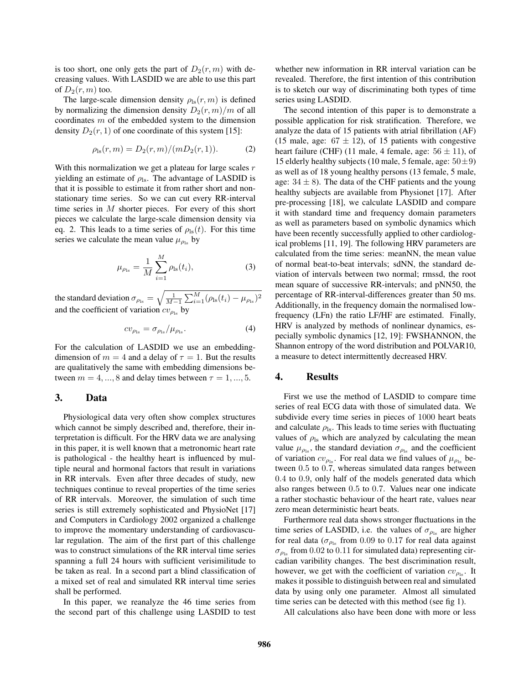is too short, one only gets the part of  $D_2(r, m)$  with decreasing values. With LASDID we are able to use this part of  $D_2(r, m)$  too.

The large-scale dimension density  $\rho_{\text{ls}}(r, m)$  is defined by normalizing the dimension density  $D_2(r, m)/m$  of all coordinates m of the embedded system to the dimension density  $D_2(r, 1)$  of one coordinate of this system [15]:

$$
\rho_{\rm ls}(r, m) = D_2(r, m)/(m D_2(r, 1)). \tag{2}
$$

With this normalization we get a plateau for large scales  $r$ yielding an estimate of  $\rho_{\rm ls}$ . The advantage of LASDID is that it is possible to estimate it from rather short and nonstationary time series. So we can cut every RR-interval time series in  $M$  shorter pieces. For every of this short pieces we calculate the large-scale dimension density via eq. 2. This leads to a time series of  $\rho_{\rm ls}(t)$ . For this time series we calculate the mean value  $\mu_{\rho_{\text{ls}}}$  by

$$
\mu_{\rho_{\text{ls}}} = \frac{1}{M} \sum_{i=1}^{M} \rho_{\text{ls}}(t_i), \tag{3}
$$

the standard deviation  $\sigma_{\rho_{\rm ls}} = \sqrt{\frac{1}{M-1}\sum_{i=1}^M (\rho_{\rm ls}(t_i) - \mu_{\rho_{\rm ls}})^2}$ and the coefficient of variation  $cv_{\rho_{\text{ls}}}$  by

$$
cv_{\rho_{\rm ls}} = \sigma_{\rho_{\rm ls}} / \mu_{\rho_{\rm ls}}.\tag{4}
$$

For the calculation of LASDID we use an embeddingdimension of  $m = 4$  and a delay of  $\tau = 1$ . But the results are qualitatively the same with embedding dimensions between  $m = 4, ..., 8$  and delay times between  $\tau = 1, ..., 5$ .

#### **3. Data**

Physiological data very often show complex structures which cannot be simply described and, therefore, their interpretation is difficult. For the HRV data we are analysing in this paper, it is well known that a metronomic heart rate is pathological - the healthy heart is influenced by multiple neural and hormonal factors that result in variations in RR intervals. Even after three decades of study, new techniques continue to reveal properties of the time series of RR intervals. Moreover, the simulation of such time series is still extremely sophisticated and PhysioNet [17] and Computers in Cardiology 2002 organized a challenge to improve the momentary understanding of cardiovascular regulation. The aim of the first part of this challenge was to construct simulations of the RR interval time series spanning a full 24 hours with sufficient verisimilitude to be taken as real. In a second part a blind classification of a mixed set of real and simulated RR interval time series shall be performed.

In this paper, we reanalyze the 46 time series from the second part of this challenge using LASDID to test whether new information in RR interval variation can be revealed. Therefore, the first intention of this contribution is to sketch our way of discriminating both types of time series using LASDID.

The second intention of this paper is to demonstrate a possible application for risk stratification. Therefore, we analyze the data of 15 patients with atrial fibrillation (AF) (15 male, age:  $67 \pm 12$ ), of 15 patients with congestive heart failure (CHF) (11 male, 4 female, age:  $56 \pm 11$ ), of 15 elderly healthy subjects (10 male, 5 female, age:  $50 \pm 9$ ) as well as of 18 young healthy persons (13 female, 5 male, age:  $34 \pm 8$ ). The data of the CHF patients and the young healthy subjects are available from Physionet [17]. After pre-processing [18], we calculate LASDID and compare it with standard time and frequency domain parameters as well as parameters based on symbolic dynamics which have been recently successfully applied to other cardiological problems [11, 19]. The following HRV parameters are calculated from the time series: meanNN, the mean value of normal beat-to-beat intervals; sdNN, the standard deviation of intervals between two normal; rmssd, the root mean square of successive RR-intervals; and pNN50, the percentage of RR-interval-differences greater than 50 ms. Additionally, in the frequency domain the normalised lowfrequency (LFn) the ratio LF/HF are estimated. Finally, HRV is analyzed by methods of nonlinear dynamics, especially symbolic dynamics [12, 19]: FWSHANNON, the Shannon entropy of the word distribution and POLVAR10, a measure to detect intermittently decreased HRV.

### **4. Results**

First we use the method of LASDID to compare time series of real ECG data with those of simulated data. We subdivide every time series in pieces of 1000 heart beats and calculate  $\rho_{\rm ls}$ . This leads to time series with fluctuating values of  $\rho_{\text{ls}}$  which are analyzed by calculating the mean value  $\mu_{\rho_{\rm ls}}$ , the standard deviation  $\sigma_{\rho_{\rm ls}}$  and the coefficient of variation  $cv_{\rho_{\text{ls}}}$ . For real data we find values of  $\mu_{\rho_{\text{ls}}}$  between 0.5 to 0.7, whereas simulated data ranges between 0.4 to 0.9, only half of the models generated data which also ranges between 0.5 to 0.7. Values near one indicate a rather stochastic behaviour of the heart rate, values near zero mean deterministic heart beats.

Furthermore real data shows stronger fluctuations in the time series of LASDID, i.e. the values of  $\sigma_{\rho_{\text{ls}}}$  are higher for real data ( $\sigma_{\rho_{\rm ls}}$  from 0.09 to 0.17 for real data against  $\sigma_{\rho_{\rm ls}}$  from 0.02 to 0.11 for simulated data) representing circadian varibility changes. The best discrimination result, however, we get with the coefficient of variation  $cv_{\rho_{1s}}$ . It makes it possible to distinguish between real and simulated data by using only one parameter. Almost all simulated time series can be detected with this method (see fig 1).

All calculations also have been done with more or less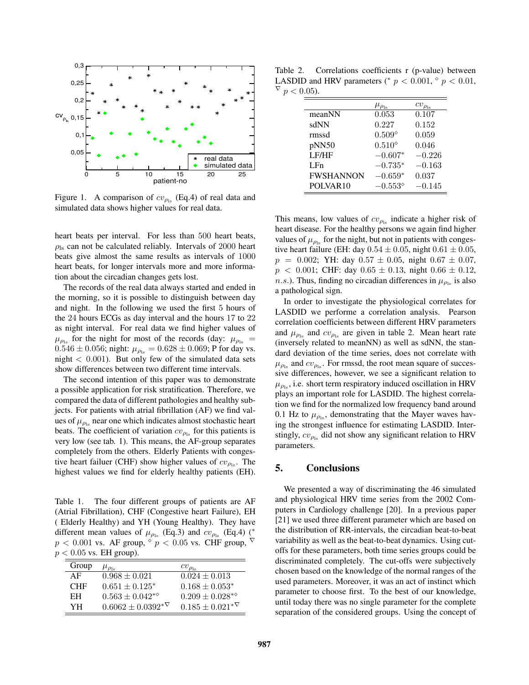

Figure 1. A comparison of  $cv_{\rho_{\rm ls}}$  (Eq.4) of real data and simulated data shows higher values for real data.

heart beats per interval. For less than 500 heart beats,  $\rho_{\rm ls}$  can not be calculated reliably. Intervals of 2000 heart beats give almost the same results as intervals of 1000 heart beats, for longer intervals more and more information about the circadian changes gets lost.

The records of the real data always started and ended in the morning, so it is possible to distinguish between day and night. In the following we used the first 5 hours of the 24 hours ECGs as day interval and the hours 17 to 22 as night interval. For real data we find higher values of  $\mu_{\rho_{\text{ls}}}$  for the night for most of the records (day:  $\mu_{\rho_{\text{ls}}}$  =  $0.546 \pm 0.056$ ; night:  $\mu_{\rho_{\text{ls}}} = 0.628 \pm 0.069$ ; P for day vs. night  $< 0.001$ ). But only few of the simulated data sets show differences between two different time intervals.

The second intention of this paper was to demonstrate a possible application for risk stratification. Therefore, we compared the data of different pathologies and healthy subjects. For patients with atrial fibrillation (AF) we find values of  $\mu_{\rho_{\text{ls}}}$  near one which indicates almost stochastic heart beats. The coefficient of variation  $cv_{\rho_{\text{ls}}}$  for this patients is very low (see tab. 1). This means, the AF-group separates completely from the others. Elderly Patients with congestive heart failuer (CHF) show higher values of  $cv_{\rho_{1s}}$ . The highest values we find for elderly healthy patients (EH).

Table 1. The four different groups of patients are AF (Atrial Fibrillation), CHF (Congestive heart Failure), EH ( Elderly Healthy) and YH (Young Healthy). They have different mean values of  $\mu_{\rho_{\text{ls}}}$  (Eq.3) and  $cv_{\rho_{\text{ls}}}$  (Eq.4) (\*  $p < 0.001$  vs. AF group,  $\sqrt{\frac{p}{p}} < 0.05$  vs. CHF group,  $\nabla$  $p < 0.05$  vs. EH group).

| Group      | $\mu_{\rho_{\rm ls}}$         | $cv_{\rho_{\rm ls}}$          |
|------------|-------------------------------|-------------------------------|
| AF         | $0.968 \pm 0.021$             | $0.024 \pm 0.013$             |
| <b>CHF</b> | $0.651 \pm 0.125^*$           | $0.168 \pm 0.053^*$           |
| EH         | $0.563 \pm 0.042^{*\diamond}$ | $0.209 \pm 0.028^{*\diamond}$ |
| YН         | $0.6062 \pm 0.0392^{*\nabla}$ | $0.185 \pm 0.021^{* \nabla}$  |

Table 2. Correlations coefficients r (p-value) between LASDID and HRV parameters (\*  $p < 0.001$ ,  $\degree p < 0.01$ ,  $\overline{v}$   $p < 0.05$ ).

|                      | $\mu_{\rho_{\rm ls}}$ | $cv_{\rho_{\rm ls}}$ |
|----------------------|-----------------------|----------------------|
| meanNN               | 0.053                 | 0.107                |
| sdNN                 | 0.227                 | 0.152                |
| rmssd                | $0.509^{\circ}$       | 0.059                |
| pNN50                | $0.510^{\circ}$       | 0.046                |
| LF/HF                | $-0.607*$             | $-0.226$             |
| LFn                  | $-0.735*$             | $-0.163$             |
| <b>FWSHANNON</b>     | $-0.659*$             | 0.037                |
| POLVAR <sub>10</sub> | $-0.553^{\diamond}$   | $-0.145$             |

This means, low values of  $cv_{\rho_{\text{ls}}}$  indicate a higher risk of heart disease. For the healthy persons we again find higher values of  $\mu_{\rho_{\text{ls}}}$  for the night, but not in patients with congestive heart failure (EH: day  $0.54 \pm 0.05$ , night  $0.61 \pm 0.05$ ,  $p = 0.002$ ; YH: day  $0.57 \pm 0.05$ , night  $0.67 \pm 0.07$ ,  $p < 0.001$ ; CHF: day  $0.65 \pm 0.13$ , night  $0.66 \pm 0.12$ , *n.s.*). Thus, finding no circadian differences in  $\mu_{\rho_{\text{ls}}}$  is also a pathological sign.

In order to investigate the physiological correlates for LASDID we performe a correlation analysis. Pearson correlation coefficients between different HRV parameters and  $\mu_{\rho_{\text{ls}}}$  and  $cv_{\rho_{\text{ls}}}$  are given in table 2. Mean heart rate (inversely related to meanNN) as well as sdNN, the standard deviation of the time series, does not correlate with  $\mu_{\rho_{\rm ls}}$  and  $cv_{\rho_{\rm ls}}$ . For rmssd, the root mean square of successive differences, however, we see a significant relation to  $\mu_{\rho_{\rm ls}}$ , i.e. short term respiratory induced oscillation in HRV plays an important role for LASDID. The highest correlation we find for the normalized low frequency band around 0.1 Hz to  $\mu_{\rho_{\rm ls}}$ , demonstrating that the Mayer waves having the strongest influence for estimating LASDID. Interstingly,  $cv_{\rho_{\text{ls}}}$  did not show any significant relation to HRV parameters.

## **5. Conclusions**

We presented a way of discriminating the 46 simulated and physiological HRV time series from the 2002 Computers in Cardiology challenge [20]. In a previous paper [21] we used three different parameter which are based on the distribution of RR-intervals, the circadian beat-to-beat variability as well as the beat-to-beat dynamics. Using cutoffs for these parameters, both time series groups could be discriminated completely. The cut-offs were subjectively chosen based on the knowledge of the normal ranges of the used parameters. Moreover, it was an act of instinct which parameter to choose first. To the best of our knowledge, until today there was no single parameter for the complete separation of the considered groups. Using the concept of